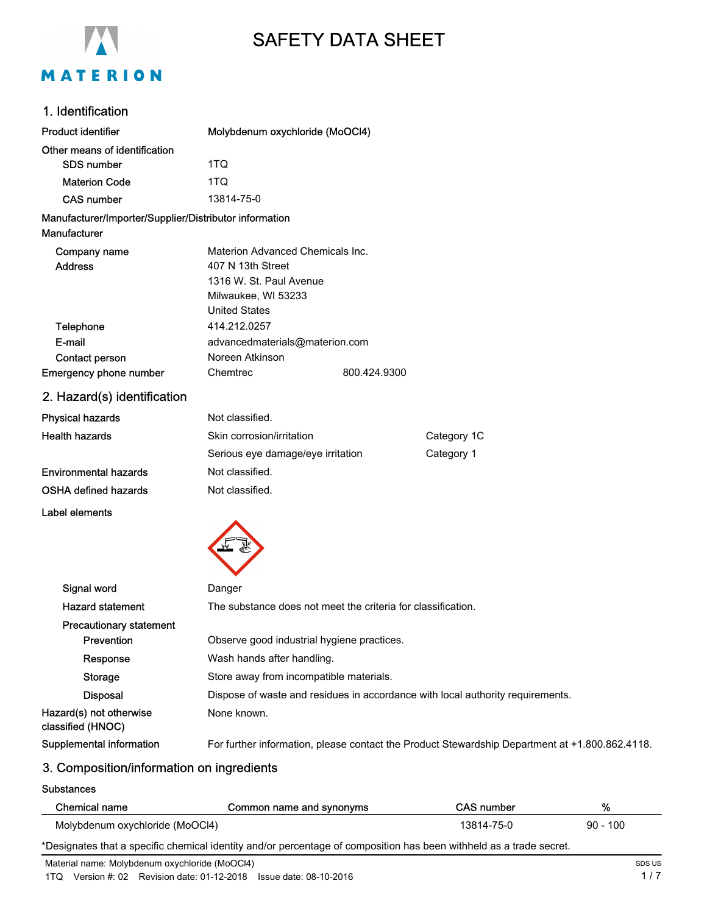

# SAFETY DATA SHEET

# 1. Identification

| <b>Product identifier</b>                              | Molybdenum oxychloride (MoOCl4)                                                |              |             |
|--------------------------------------------------------|--------------------------------------------------------------------------------|--------------|-------------|
| Other means of identification                          |                                                                                |              |             |
| SDS number                                             | 1TQ                                                                            |              |             |
| <b>Materion Code</b>                                   | 1TQ                                                                            |              |             |
| <b>CAS number</b>                                      | 13814-75-0                                                                     |              |             |
| Manufacturer/Importer/Supplier/Distributor information |                                                                                |              |             |
| Manufacturer                                           |                                                                                |              |             |
| Company name                                           | Materion Advanced Chemicals Inc.                                               |              |             |
| <b>Address</b>                                         | 407 N 13th Street                                                              |              |             |
|                                                        | 1316 W. St. Paul Avenue                                                        |              |             |
|                                                        | Milwaukee, WI 53233                                                            |              |             |
|                                                        | <b>United States</b>                                                           |              |             |
| Telephone                                              | 414.212.0257                                                                   |              |             |
| E-mail                                                 | advancedmaterials@materion.com                                                 |              |             |
| Contact person                                         | Noreen Atkinson                                                                |              |             |
| <b>Emergency phone number</b>                          | Chemtrec                                                                       | 800.424.9300 |             |
| 2. Hazard(s) identification                            |                                                                                |              |             |
| <b>Physical hazards</b>                                | Not classified.                                                                |              |             |
| <b>Health hazards</b>                                  | Skin corrosion/irritation                                                      |              | Category 1C |
|                                                        | Serious eye damage/eye irritation                                              |              | Category 1  |
| <b>Environmental hazards</b>                           | Not classified.                                                                |              |             |
| <b>OSHA defined hazards</b>                            | Not classified.                                                                |              |             |
| Label elements                                         |                                                                                |              |             |
|                                                        |                                                                                |              |             |
|                                                        |                                                                                |              |             |
|                                                        |                                                                                |              |             |
| Signal word                                            | Danger                                                                         |              |             |
| <b>Hazard statement</b>                                | The substance does not meet the criteria for classification.                   |              |             |
| <b>Precautionary statement</b>                         |                                                                                |              |             |
| Prevention                                             | Observe good industrial hygiene practices.                                     |              |             |
| Response                                               | Wash hands after handling.                                                     |              |             |
| Storage                                                | Store away from incompatible materials.                                        |              |             |
| <b>Disposal</b>                                        | Dispose of waste and residues in accordance with local authority requirements. |              |             |
| Hazard(s) not otherwise<br>classified (HNOC)           | None known.                                                                    |              |             |
|                                                        |                                                                                |              |             |

Supplemental information For further information, please contact the Product Stewardship Department at +1.800.862.4118.

# 3. Composition/information on ingredients

### Substances

| Chemical name                                                                                                       | Common name and synonyms | CAS number | %          |
|---------------------------------------------------------------------------------------------------------------------|--------------------------|------------|------------|
| Molybdenum oxychloride (MoOCl4)                                                                                     |                          | 13814-75-0 | $90 - 100$ |
| *Designates that a specific chemical identity and/or percentage of composition has been withheld as a trade secret. |                          |            |            |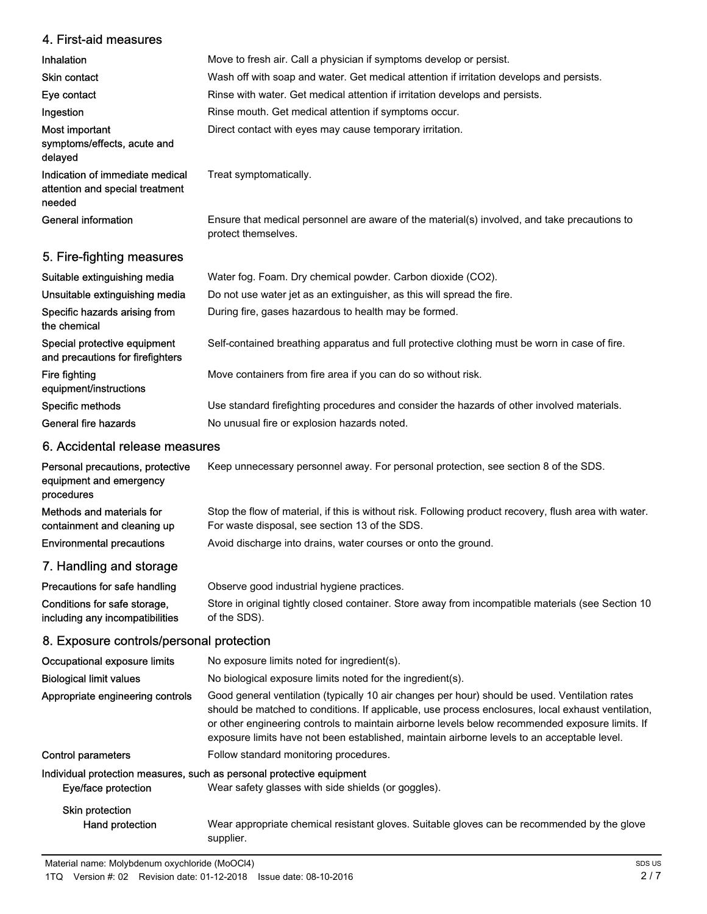# 4. First-aid measures

| Inhalation                                                                   | Move to fresh air. Call a physician if symptoms develop or persist.                                                 |
|------------------------------------------------------------------------------|---------------------------------------------------------------------------------------------------------------------|
| <b>Skin contact</b>                                                          | Wash off with soap and water. Get medical attention if irritation develops and persists.                            |
| Eye contact                                                                  | Rinse with water. Get medical attention if irritation develops and persists.                                        |
| Ingestion                                                                    | Rinse mouth. Get medical attention if symptoms occur.                                                               |
| Most important<br>symptoms/effects, acute and<br>delayed                     | Direct contact with eyes may cause temporary irritation.                                                            |
| Indication of immediate medical<br>attention and special treatment<br>needed | Treat symptomatically.                                                                                              |
| General information                                                          | Ensure that medical personnel are aware of the material(s) involved, and take precautions to<br>protect themselves. |
| 5. Fire-fighting measures                                                    |                                                                                                                     |
| Suitable extinguishing media                                                 | Water fog. Foam. Dry chemical powder. Carbon dioxide (CO2).                                                         |

| <b>Uullablu UAlinguioning muulu</b>                              | <u>Haloi Tog. Fourn. Diy ononnoar powdor. Odrbon dioxido (OOZ).</u>                           |
|------------------------------------------------------------------|-----------------------------------------------------------------------------------------------|
| Unsuitable extinguishing media                                   | Do not use water jet as an extinguisher, as this will spread the fire.                        |
| Specific hazards arising from<br>the chemical                    | During fire, gases hazardous to health may be formed.                                         |
| Special protective equipment<br>and precautions for firefighters | Self-contained breathing apparatus and full protective clothing must be worn in case of fire. |
| Fire fighting<br>equipment/instructions                          | Move containers from fire area if you can do so without risk.                                 |
| Specific methods                                                 | Use standard firefighting procedures and consider the hazards of other involved materials.    |
| General fire hazards                                             | No unusual fire or explosion hazards noted.                                                   |
|                                                                  |                                                                                               |

# 6. Accidental release measures

| Personal precautions, protective<br>equipment and emergency<br>procedures | Keep unnecessary personnel away. For personal protection, see section 8 of the SDS.                                                                      |
|---------------------------------------------------------------------------|----------------------------------------------------------------------------------------------------------------------------------------------------------|
| Methods and materials for<br>containment and cleaning up                  | Stop the flow of material, if this is without risk. Following product recovery, flush area with water.<br>For waste disposal, see section 13 of the SDS. |
| <b>Environmental precautions</b>                                          | Avoid discharge into drains, water courses or onto the ground.                                                                                           |
| 7. Handling and storage                                                   |                                                                                                                                                          |
| Precautions for safe handling                                             | Observe good industrial hygiene practices.                                                                                                               |
| Conditions for safe storage.                                              | Store in original tightly closed container. Store away from incompatible materials (see Section 10                                                       |

# including any incompatibilities 8. Exposure controls/personal protection

| Occupational exposure limits     | No exposure limits noted for ingredient(s).                                                                                                                                                                                                                                                                                                                                                            |  |
|----------------------------------|--------------------------------------------------------------------------------------------------------------------------------------------------------------------------------------------------------------------------------------------------------------------------------------------------------------------------------------------------------------------------------------------------------|--|
| <b>Biological limit values</b>   | No biological exposure limits noted for the ingredient(s).                                                                                                                                                                                                                                                                                                                                             |  |
| Appropriate engineering controls | Good general ventilation (typically 10 air changes per hour) should be used. Ventilation rates<br>should be matched to conditions. If applicable, use process enclosures, local exhaust ventilation,<br>or other engineering controls to maintain airborne levels below recommended exposure limits. If<br>exposure limits have not been established, maintain airborne levels to an acceptable level. |  |
| Control parameters               | Follow standard monitoring procedures.                                                                                                                                                                                                                                                                                                                                                                 |  |
|                                  | Individual protection measures, such as personal protective equipment                                                                                                                                                                                                                                                                                                                                  |  |
| Eye/face protection              | Wear safety glasses with side shields (or goggles).                                                                                                                                                                                                                                                                                                                                                    |  |
| <b>Skin protection</b>           |                                                                                                                                                                                                                                                                                                                                                                                                        |  |
| Hand protection                  | Wear appropriate chemical resistant gloves. Suitable gloves can be recommended by the glove<br>supplier.                                                                                                                                                                                                                                                                                               |  |
|                                  |                                                                                                                                                                                                                                                                                                                                                                                                        |  |

of the SDS).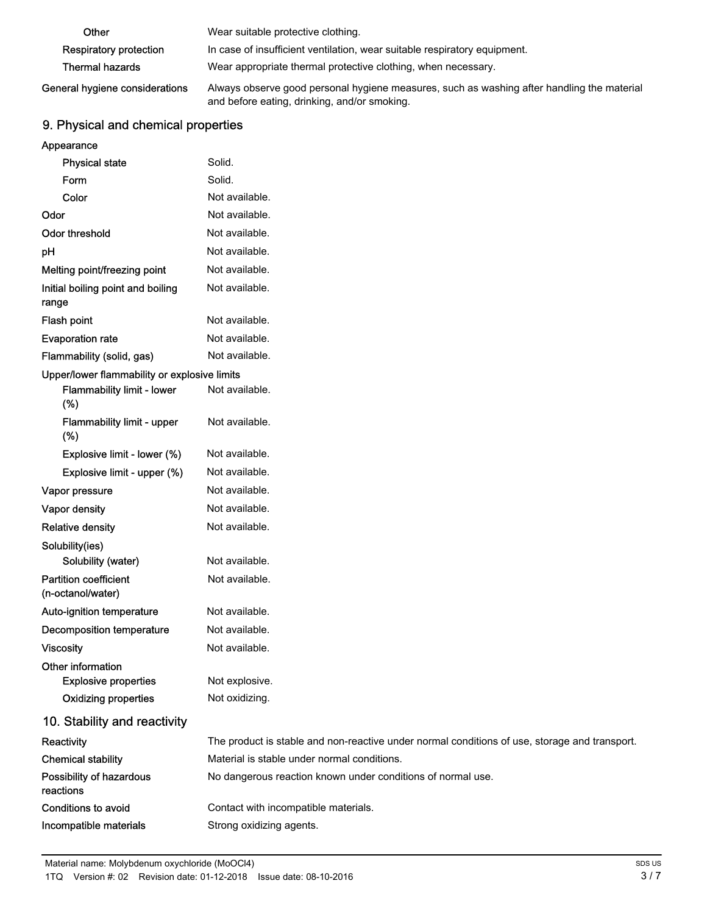| Other                          | Wear suitable protective clothing.                                                                                                         |
|--------------------------------|--------------------------------------------------------------------------------------------------------------------------------------------|
| <b>Respiratory protection</b>  | In case of insufficient ventilation, wear suitable respiratory equipment.                                                                  |
| <b>Thermal hazards</b>         | Wear appropriate thermal protective clothing, when necessary.                                                                              |
| General hygiene considerations | Always observe good personal hygiene measures, such as washing after handling the material<br>and before eating, drinking, and/or smoking. |

# 9. Physical and chemical properties

| Appearance                                              |                                             |
|---------------------------------------------------------|---------------------------------------------|
| <b>Physical state</b>                                   | Solid.                                      |
| Form                                                    | Solid.                                      |
| Color                                                   | Not available.                              |
| Odor                                                    | Not available.                              |
| <b>Odor threshold</b>                                   | Not available.                              |
| рH                                                      | Not available.                              |
| Melting point/freezing point                            | Not available.                              |
| Initial boiling point and boiling<br>range              | Not available.                              |
| <b>Flash point</b>                                      | Not available.                              |
| <b>Evaporation rate</b>                                 | Not available.                              |
| Flammability (solid, gas)                               | Not available.                              |
| Upper/lower flammability or explosive limits            |                                             |
| <b>Flammability limit - lower</b><br>$(\%)$             | Not available.                              |
| Flammability limit - upper<br>(%)                       | Not available.                              |
| Explosive limit - lower (%)                             | Not available.                              |
| Explosive limit - upper (%)                             | Not available.                              |
| Vapor pressure                                          | Not available.                              |
| Vapor density                                           | Not available.                              |
| <b>Relative density</b>                                 | Not available.                              |
| Solubility(ies)                                         |                                             |
| Solubility (water)                                      | Not available.                              |
| <b>Partition coefficient</b><br>(n-octanol/water)       | Not available.                              |
| Auto-ignition temperature                               | Not available.                              |
| <b>Decomposition temperature</b>                        | Not available.                              |
| <b>Viscosity</b>                                        | Not available.                              |
| <b>Other information</b><br><b>Explosive properties</b> | Not explosive.                              |
| <b>Oxidizing properties</b>                             | Not oxidizing.                              |
| 10. Stability and reactivity                            |                                             |
| Reactivity                                              | The product is stable and non-reactive unde |

| Reactivity                            | The product is stable and non-reactive under normal conditions of use, storage and transport. |
|---------------------------------------|-----------------------------------------------------------------------------------------------|
| <b>Chemical stability</b>             | Material is stable under normal conditions.                                                   |
| Possibility of hazardous<br>reactions | No dangerous reaction known under conditions of normal use.                                   |
| Conditions to avoid                   | Contact with incompatible materials.                                                          |
| Incompatible materials                | Strong oxidizing agents.                                                                      |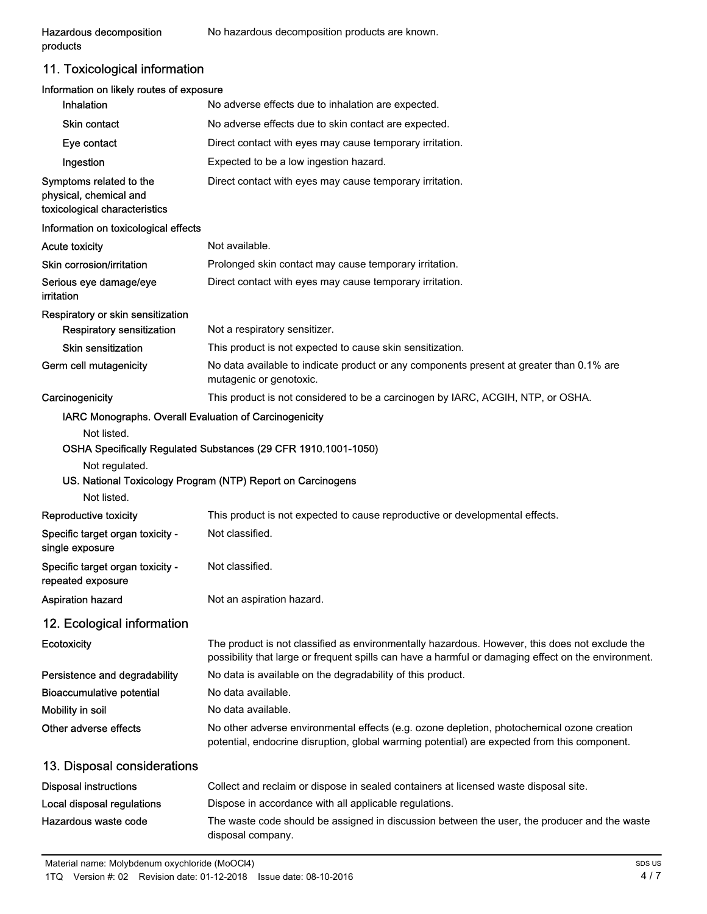# 11. Toxicological information

| Information on likely routes of exposure                                           |                                                                                                                                                                                                       |
|------------------------------------------------------------------------------------|-------------------------------------------------------------------------------------------------------------------------------------------------------------------------------------------------------|
| Inhalation                                                                         | No adverse effects due to inhalation are expected.                                                                                                                                                    |
| <b>Skin contact</b>                                                                | No adverse effects due to skin contact are expected.                                                                                                                                                  |
| Eye contact                                                                        | Direct contact with eyes may cause temporary irritation.                                                                                                                                              |
| Ingestion                                                                          | Expected to be a low ingestion hazard.                                                                                                                                                                |
| Symptoms related to the<br>physical, chemical and<br>toxicological characteristics | Direct contact with eyes may cause temporary irritation.                                                                                                                                              |
| Information on toxicological effects                                               |                                                                                                                                                                                                       |
| <b>Acute toxicity</b>                                                              | Not available.                                                                                                                                                                                        |
| Skin corrosion/irritation                                                          | Prolonged skin contact may cause temporary irritation.                                                                                                                                                |
| Serious eye damage/eye<br>irritation                                               | Direct contact with eyes may cause temporary irritation.                                                                                                                                              |
| Respiratory or skin sensitization                                                  |                                                                                                                                                                                                       |
| <b>Respiratory sensitization</b>                                                   | Not a respiratory sensitizer.                                                                                                                                                                         |
| Skin sensitization                                                                 | This product is not expected to cause skin sensitization.                                                                                                                                             |
| Germ cell mutagenicity                                                             | No data available to indicate product or any components present at greater than 0.1% are<br>mutagenic or genotoxic.                                                                                   |
| Carcinogenicity                                                                    | This product is not considered to be a carcinogen by IARC, ACGIH, NTP, or OSHA.                                                                                                                       |
| IARC Monographs. Overall Evaluation of Carcinogenicity                             |                                                                                                                                                                                                       |
| Not listed.                                                                        |                                                                                                                                                                                                       |
|                                                                                    | OSHA Specifically Regulated Substances (29 CFR 1910.1001-1050)                                                                                                                                        |
| Not regulated.                                                                     | US. National Toxicology Program (NTP) Report on Carcinogens                                                                                                                                           |
| Not listed.                                                                        |                                                                                                                                                                                                       |
| Reproductive toxicity                                                              | This product is not expected to cause reproductive or developmental effects.                                                                                                                          |
| Specific target organ toxicity -<br>single exposure                                | Not classified.                                                                                                                                                                                       |
| Specific target organ toxicity -<br>repeated exposure                              | Not classified.                                                                                                                                                                                       |
| <b>Aspiration hazard</b>                                                           | Not an aspiration hazard                                                                                                                                                                              |
| 12. Ecological information                                                         |                                                                                                                                                                                                       |
| Ecotoxicity                                                                        | The product is not classified as environmentally hazardous. However, this does not exclude the<br>possibility that large or frequent spills can have a harmful or damaging effect on the environment. |
| Persistence and degradability                                                      | No data is available on the degradability of this product.                                                                                                                                            |
| <b>Bioaccumulative potential</b>                                                   | No data available.                                                                                                                                                                                    |
| Mobility in soil                                                                   | No data available.                                                                                                                                                                                    |
| Other adverse effects                                                              | No other adverse environmental effects (e.g. ozone depletion, photochemical ozone creation<br>potential, endocrine disruption, global warming potential) are expected from this component.            |
| 13. Disposal considerations                                                        |                                                                                                                                                                                                       |
| <b>Disposal instructions</b>                                                       | Collect and reclaim or dispose in sealed containers at licensed waste disposal site.                                                                                                                  |
| Local disposal regulations                                                         | Dispose in accordance with all applicable regulations.                                                                                                                                                |
| Hazardous waste code                                                               | The waste code should be assigned in discussion between the user, the producer and the waste<br>disposal company.                                                                                     |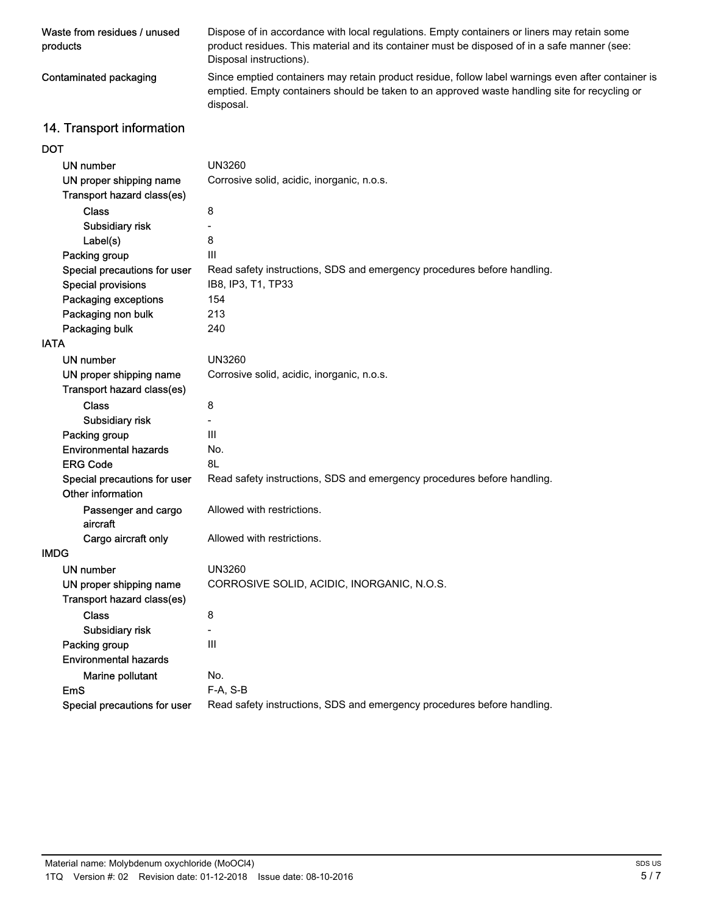| Waste from residues / unused<br>products          | Dispose of in accordance with local regulations. Empty containers or liners may retain some<br>product residues. This material and its container must be disposed of in a safe manner (see:<br>Disposal instructions). |
|---------------------------------------------------|------------------------------------------------------------------------------------------------------------------------------------------------------------------------------------------------------------------------|
| Contaminated packaging                            | Since emptied containers may retain product residue, follow label warnings even after container is<br>emptied. Empty containers should be taken to an approved waste handling site for recycling or<br>disposal.       |
| 14. Transport information                         |                                                                                                                                                                                                                        |
| <b>DOT</b>                                        |                                                                                                                                                                                                                        |
| <b>UN number</b>                                  | <b>UN3260</b>                                                                                                                                                                                                          |
| UN proper shipping name                           | Corrosive solid, acidic, inorganic, n.o.s.                                                                                                                                                                             |
| Transport hazard class(es)                        |                                                                                                                                                                                                                        |
| <b>Class</b>                                      | 8                                                                                                                                                                                                                      |
| Subsidiary risk                                   | $\overline{\phantom{0}}$                                                                                                                                                                                               |
| Label(s)                                          | 8                                                                                                                                                                                                                      |
| Packing group                                     | Ш                                                                                                                                                                                                                      |
| Special precautions for user                      | Read safety instructions, SDS and emergency procedures before handling.                                                                                                                                                |
| Special provisions                                | IB8, IP3, T1, TP33                                                                                                                                                                                                     |
| Packaging exceptions                              | 154                                                                                                                                                                                                                    |
| Packaging non bulk                                | 213                                                                                                                                                                                                                    |
| Packaging bulk                                    | 240                                                                                                                                                                                                                    |
| <b>IATA</b>                                       |                                                                                                                                                                                                                        |
| <b>UN number</b>                                  | <b>UN3260</b>                                                                                                                                                                                                          |
| UN proper shipping name                           | Corrosive solid, acidic, inorganic, n.o.s.                                                                                                                                                                             |
| Transport hazard class(es)                        |                                                                                                                                                                                                                        |
| <b>Class</b>                                      | 8                                                                                                                                                                                                                      |
| Subsidiary risk                                   |                                                                                                                                                                                                                        |
| Packing group                                     | Ш                                                                                                                                                                                                                      |
| <b>Environmental hazards</b>                      | No.                                                                                                                                                                                                                    |
| <b>ERG Code</b>                                   | 8L                                                                                                                                                                                                                     |
| Special precautions for user<br>Other information | Read safety instructions, SDS and emergency procedures before handling.                                                                                                                                                |
| Passenger and cargo<br>aircraft                   | Allowed with restrictions.                                                                                                                                                                                             |
| Cargo aircraft only                               | Allowed with restrictions.                                                                                                                                                                                             |
| <b>IMDG</b>                                       |                                                                                                                                                                                                                        |
| <b>UN number</b>                                  | <b>UN3260</b>                                                                                                                                                                                                          |
| UN proper shipping name                           | CORROSIVE SOLID, ACIDIC, INORGANIC, N.O.S.                                                                                                                                                                             |
| Transport hazard class(es)                        |                                                                                                                                                                                                                        |
| <b>Class</b>                                      | 8                                                                                                                                                                                                                      |
| Subsidiary risk                                   |                                                                                                                                                                                                                        |
| Packing group                                     | $\mathsf{III}$                                                                                                                                                                                                         |
| <b>Environmental hazards</b>                      |                                                                                                                                                                                                                        |
| Marine pollutant                                  | No.                                                                                                                                                                                                                    |
| <b>EmS</b>                                        | F-A, S-B                                                                                                                                                                                                               |
| Special precautions for user                      | Read safety instructions, SDS and emergency procedures before handling.                                                                                                                                                |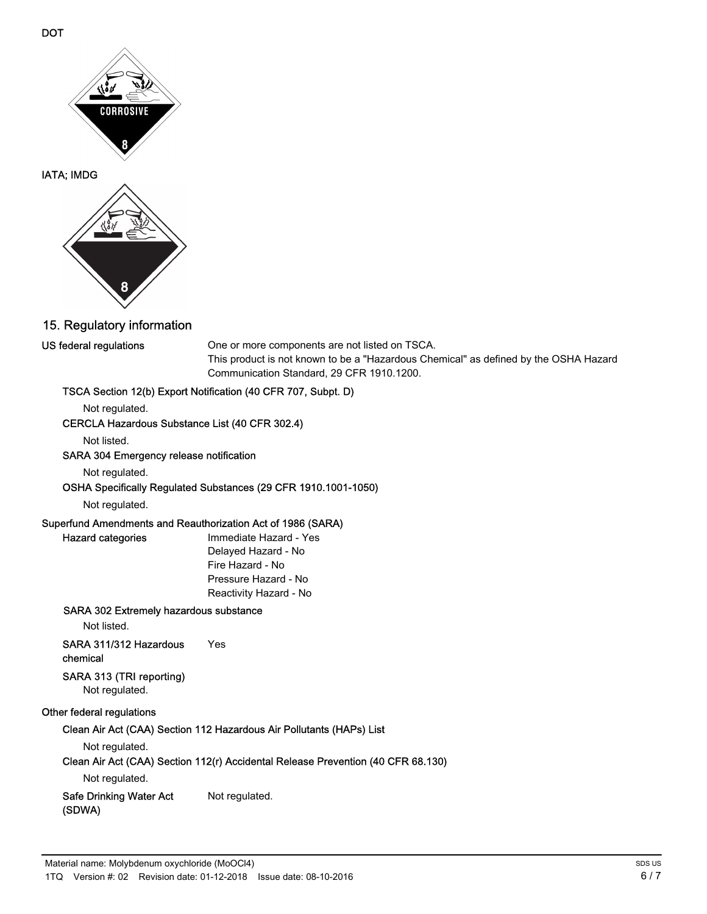

## 15. Regulatory information

#### US federal regulations

One or more components are not listed on TSCA. This product is not known to be a "Hazardous Chemical" as defined by the OSHA Hazard Communication Standard, 29 CFR 1910.1200.

#### TSCA Section 12(b) Export Notification (40 CFR 707, Subpt. D)

Not regulated.

## CERCLA Hazardous Substance List (40 CFR 302.4)

Not listed.

#### SARA 304 Emergency release notification

Not regulated.

#### OSHA Specifically Regulated Substances (29 CFR 1910.1001-1050)

Not regulated.

#### Superfund Amendments and Reauthorization Act of 1986 (SARA)

#### Hazard categories

Immediate Hazard - Yes Delayed Hazard - No Fire Hazard - No Pressure Hazard - No Reactivity Hazard - No

#### SARA 302 Extremely hazardous substance

Not listed.

SARA 311/312 Hazardous Yes

# chemical

#### SARA 313 (TRI reporting)

Not regulated.

#### Other federal regulations

#### Clean Air Act (CAA) Section 112 Hazardous Air Pollutants (HAPs) List

Not regulated.

#### Clean Air Act (CAA) Section 112(r) Accidental Release Prevention (40 CFR 68.130)

Not regulated.

#### Safe Drinking Water Act Not regulated.

(SDWA)